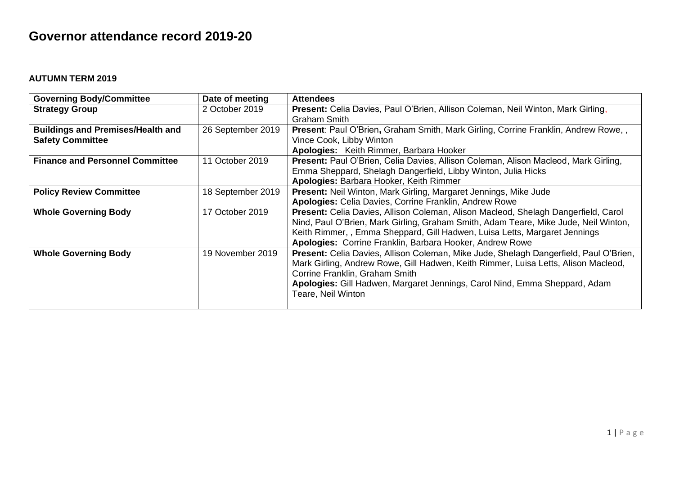## **Governor attendance record 2019-20**

## **AUTUMN TERM 2019**

| <b>Governing Body/Committee</b>          | Date of meeting   | <b>Attendees</b>                                                                          |
|------------------------------------------|-------------------|-------------------------------------------------------------------------------------------|
| <b>Strategy Group</b>                    | 2 October 2019    | Present: Celia Davies, Paul O'Brien, Allison Coleman, Neil Winton, Mark Girling,          |
|                                          |                   | <b>Graham Smith</b>                                                                       |
| <b>Buildings and Premises/Health and</b> | 26 September 2019 | Present: Paul O'Brien, Graham Smith, Mark Girling, Corrine Franklin, Andrew Rowe,,        |
| <b>Safety Committee</b>                  |                   | Vince Cook, Libby Winton                                                                  |
|                                          |                   | Apologies: Keith Rimmer, Barbara Hooker                                                   |
| <b>Finance and Personnel Committee</b>   | 11 October 2019   | Present: Paul O'Brien, Celia Davies, Allison Coleman, Alison Macleod, Mark Girling,       |
|                                          |                   | Emma Sheppard, Shelagh Dangerfield, Libby Winton, Julia Hicks                             |
|                                          |                   | Apologies: Barbara Hooker, Keith Rimmer                                                   |
| <b>Policy Review Committee</b>           | 18 September 2019 | Present: Neil Winton, Mark Girling, Margaret Jennings, Mike Jude                          |
|                                          |                   | Apologies: Celia Davies, Corrine Franklin, Andrew Rowe                                    |
| <b>Whole Governing Body</b>              | 17 October 2019   | <b>Present:</b> Celia Davies, Allison Coleman, Alison Macleod, Shelagh Dangerfield, Carol |
|                                          |                   | Nind, Paul O'Brien, Mark Girling, Graham Smith, Adam Teare, Mike Jude, Neil Winton,       |
|                                          |                   | Keith Rimmer,, Emma Sheppard, Gill Hadwen, Luisa Letts, Margaret Jennings                 |
|                                          |                   | Apologies: Corrine Franklin, Barbara Hooker, Andrew Rowe                                  |
| <b>Whole Governing Body</b>              | 19 November 2019  | Present: Celia Davies, Allison Coleman, Mike Jude, Shelagh Dangerfield, Paul O'Brien,     |
|                                          |                   | Mark Girling, Andrew Rowe, Gill Hadwen, Keith Rimmer, Luisa Letts, Alison Macleod,        |
|                                          |                   | Corrine Franklin, Graham Smith                                                            |
|                                          |                   | Apologies: Gill Hadwen, Margaret Jennings, Carol Nind, Emma Sheppard, Adam                |
|                                          |                   | Teare, Neil Winton                                                                        |
|                                          |                   |                                                                                           |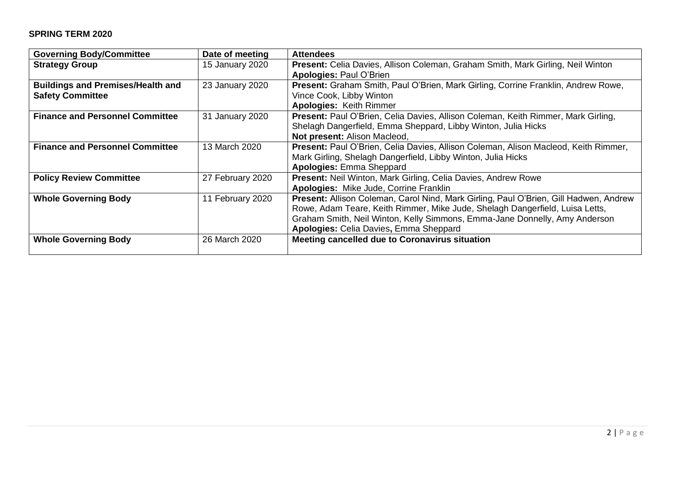## **SPRING TERM 2020**

| <b>Governing Body/Committee</b>          | Date of meeting  | <b>Attendees</b>                                                                      |
|------------------------------------------|------------------|---------------------------------------------------------------------------------------|
| <b>Strategy Group</b>                    | 15 January 2020  | Present: Celia Davies, Allison Coleman, Graham Smith, Mark Girling, Neil Winton       |
|                                          |                  | <b>Apologies: Paul O'Brien</b>                                                        |
| <b>Buildings and Premises/Health and</b> | 23 January 2020  | Present: Graham Smith, Paul O'Brien, Mark Girling, Corrine Franklin, Andrew Rowe,     |
| <b>Safety Committee</b>                  |                  | Vince Cook, Libby Winton                                                              |
|                                          |                  | <b>Apologies: Keith Rimmer</b>                                                        |
| <b>Finance and Personnel Committee</b>   | 31 January 2020  | Present: Paul O'Brien, Celia Davies, Allison Coleman, Keith Rimmer, Mark Girling,     |
|                                          |                  | Shelagh Dangerfield, Emma Sheppard, Libby Winton, Julia Hicks                         |
|                                          |                  | Not present: Alison Macleod,                                                          |
| <b>Finance and Personnel Committee</b>   | 13 March 2020    | Present: Paul O'Brien, Celia Davies, Allison Coleman, Alison Macleod, Keith Rimmer,   |
|                                          |                  | Mark Girling, Shelagh Dangerfield, Libby Winton, Julia Hicks                          |
|                                          |                  | Apologies: Emma Sheppard                                                              |
| <b>Policy Review Committee</b>           | 27 February 2020 | Present: Neil Winton, Mark Girling, Celia Davies, Andrew Rowe                         |
|                                          |                  | Apologies: Mike Jude, Corrine Franklin                                                |
| <b>Whole Governing Body</b>              | 11 February 2020 | Present: Allison Coleman, Carol Nind, Mark Girling, Paul O'Brien, Gill Hadwen, Andrew |
|                                          |                  | Rowe, Adam Teare, Keith Rimmer, Mike Jude, Shelagh Dangerfield, Luisa Letts,          |
|                                          |                  | Graham Smith, Neil Winton, Kelly Simmons, Emma-Jane Donnelly, Amy Anderson            |
|                                          |                  | Apologies: Celia Davies, Emma Sheppard                                                |
| <b>Whole Governing Body</b>              | 26 March 2020    | Meeting cancelled due to Coronavirus situation                                        |
|                                          |                  |                                                                                       |